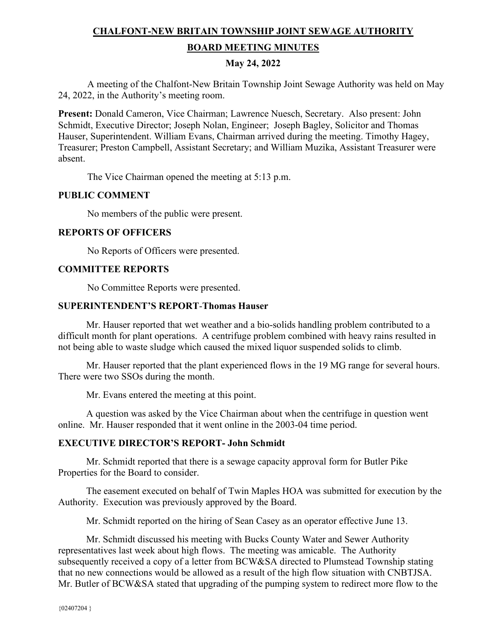# **CHALFONT-NEW BRITAIN TOWNSHIP JOINT SEWAGE AUTHORITY BOARD MEETING MINUTES**

## **May 24, 2022**

A meeting of the Chalfont-New Britain Township Joint Sewage Authority was held on May 24, 2022, in the Authority's meeting room.

**Present:** Donald Cameron, Vice Chairman; Lawrence Nuesch, Secretary. Also present: John Schmidt, Executive Director; Joseph Nolan, Engineer; Joseph Bagley, Solicitor and Thomas Hauser, Superintendent. William Evans, Chairman arrived during the meeting. Timothy Hagey, Treasurer; Preston Campbell, Assistant Secretary; and William Muzika, Assistant Treasurer were absent.

The Vice Chairman opened the meeting at 5:13 p.m.

#### **PUBLIC COMMENT**

No members of the public were present.

## **REPORTS OF OFFICERS**

No Reports of Officers were presented.

#### **COMMITTEE REPORTS**

No Committee Reports were presented.

#### **SUPERINTENDENT'S REPORT**-**Thomas Hauser**

Mr. Hauser reported that wet weather and a bio-solids handling problem contributed to a difficult month for plant operations. A centrifuge problem combined with heavy rains resulted in not being able to waste sludge which caused the mixed liquor suspended solids to climb.

 Mr. Hauser reported that the plant experienced flows in the 19 MG range for several hours. There were two SSOs during the month.

Mr. Evans entered the meeting at this point.

 A question was asked by the Vice Chairman about when the centrifuge in question went online. Mr. Hauser responded that it went online in the 2003-04 time period.

## **EXECUTIVE DIRECTOR'S REPORT- John Schmidt**

 Mr. Schmidt reported that there is a sewage capacity approval form for Butler Pike Properties for the Board to consider.

 The easement executed on behalf of Twin Maples HOA was submitted for execution by the Authority. Execution was previously approved by the Board.

Mr. Schmidt reported on the hiring of Sean Casey as an operator effective June 13.

 Mr. Schmidt discussed his meeting with Bucks County Water and Sewer Authority representatives last week about high flows. The meeting was amicable. The Authority subsequently received a copy of a letter from BCW&SA directed to Plumstead Township stating that no new connections would be allowed as a result of the high flow situation with CNBTJSA. Mr. Butler of BCW&SA stated that upgrading of the pumping system to redirect more flow to the